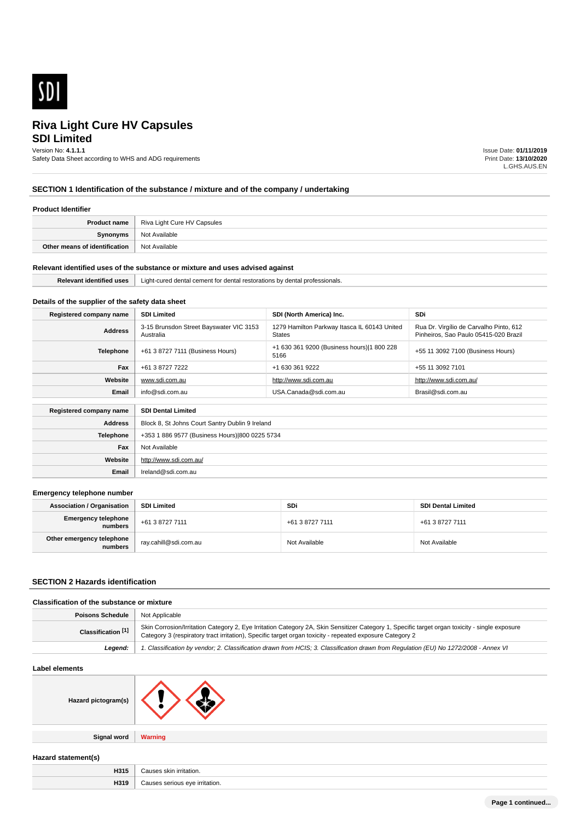

# **SDI Limited Riva Light Cure HV Capsules**

#### Version No: **4.1.1.1**

Safety Data Sheet according to WHS and ADG requirements

Issue Date: **01/11/2019** Print Date: **13/10/2020** L.GHS.AUS.EN

## **SECTION 1 Identification of the substance / mixture and of the company / undertaking**

#### **Product Identifier**

|                               | <b>Product name</b>   Riva Light Cure HV Capsules |
|-------------------------------|---------------------------------------------------|
| Synonyms                      | Not Available                                     |
| Other means of identification | Not Available                                     |

#### **Relevant identified uses of the substance or mixture and uses advised against**

| . | Liaht-cured<br>cement<br>, restorations<br><b>AQD</b><br>τnι<br>denta<br>sionais.<br>A<br>nv.<br>157<br>. |  |
|---|-----------------------------------------------------------------------------------------------------------|--|
|   |                                                                                                           |  |

## **Details of the supplier of the safety data sheet**

**Website**

**Email** Ireland@sdi.com.au

http://www.sdi.com.au/

| Registered company name | <b>SDI Limited</b>                                   | SDI (North America) Inc.                                      | <b>SDi</b>                                                                       |
|-------------------------|------------------------------------------------------|---------------------------------------------------------------|----------------------------------------------------------------------------------|
| <b>Address</b>          | 3-15 Brunsdon Street Bayswater VIC 3153<br>Australia | 1279 Hamilton Parkway Itasca IL 60143 United<br><b>States</b> | Rua Dr. Virgílio de Carvalho Pinto, 612<br>Pinheiros, Sao Paulo 05415-020 Brazil |
| Telephone               | +61 3 8727 7111 (Business Hours)                     | +1 630 361 9200 (Business hours) 1 800 228<br>5166            | +55 11 3092 7100 (Business Hours)                                                |
| Fax                     | +61 3 8727 7222                                      | +1 630 361 9222                                               | +55 11 3092 7101                                                                 |
| Website                 | www.sdi.com.au                                       | http://www.sdi.com.au                                         | http://www.sdi.com.au/                                                           |
| Email                   | info@sdi.com.au                                      | USA.Canada@sdi.com.au                                         | Brasil@sdi.com.au                                                                |
| Registered company name | <b>SDI Dental Limited</b>                            |                                                               |                                                                                  |
| <b>Address</b>          | Block 8, St Johns Court Santry Dublin 9 Ireland      |                                                               |                                                                                  |
| Telephone               | +353 1 886 9577 (Business Hours) 800 0225 5734       |                                                               |                                                                                  |
| Fax                     | Not Available                                        |                                                               |                                                                                  |

#### **Emergency telephone number**

| <b>Association / Organisation</b>    | <b>SDI Limited</b>    | <b>SDi</b>      | <b>SDI Dental Limited</b> |
|--------------------------------------|-----------------------|-----------------|---------------------------|
| Emergency telephone<br>numbers       | +61 3 8727 7111       | +61 3 8727 7111 | +61 3 8727 7111           |
| Other emergency telephone<br>numbers | ray.cahill@sdi.com.au | Not Available   | Not Available             |

#### **SECTION 2 Hazards identification**

## **Classification of the substance or mixture**

| <b>Poisons Schedule   Not Applicable</b> |                                                                                                                                                                                                                                                            |
|------------------------------------------|------------------------------------------------------------------------------------------------------------------------------------------------------------------------------------------------------------------------------------------------------------|
| Classification [1]                       | Skin Corrosion/Irritation Category 2, Eye Irritation Category 2A, Skin Sensitizer Category 1, Specific target organ toxicity - single exposure<br>Category 3 (respiratory tract irritation), Specific target organ toxicity - repeated exposure Category 2 |
| Leaend:                                  | 1. Classification by vendor; 2. Classification drawn from HCIS; 3. Classification drawn from Regulation (EU) No 1272/2008 - Annex VI                                                                                                                       |

#### **Label elements**

| Hazard pictogram(s) |  |
|---------------------|--|
|                     |  |

**Signal word Warning**

**Hazard statement(s)**

| H315 | tation.     |
|------|-------------|
| H319 | irritation. |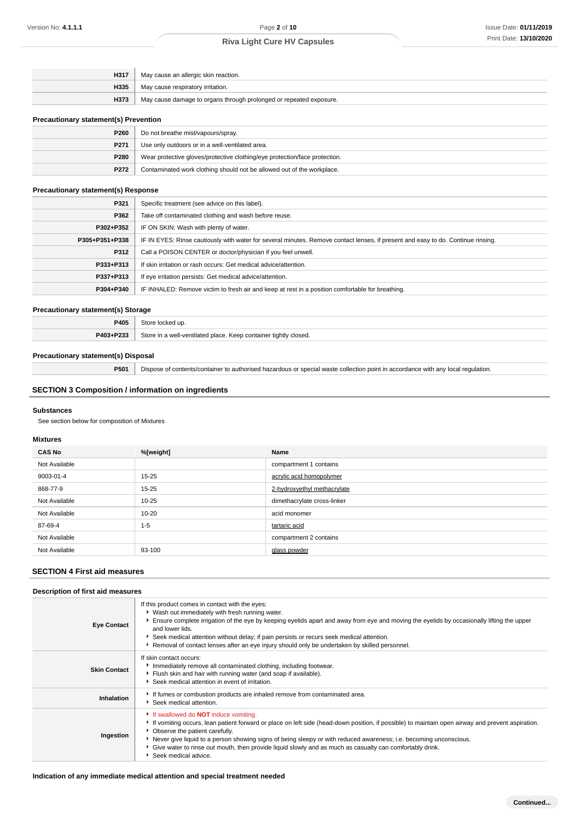| H317 | May cause an allergic skin reaction.                               |
|------|--------------------------------------------------------------------|
| H335 | May cause respiratory irritation.                                  |
| H373 | May cause damage to organs through prolonged or repeated exposure. |
|      |                                                                    |

#### **Precautionary statement(s) Prevention**

| P260 | Do not breathe mist/vapours/spray.                                         |
|------|----------------------------------------------------------------------------|
| P271 | Use only outdoors or in a well-ventilated area.                            |
| P280 | Wear protective gloves/protective clothing/eye protection/face protection. |
| P272 | Contaminated work clothing should not be allowed out of the workplace.     |

#### **Precautionary statement(s) Response**

| P321           | Specific treatment (see advice on this label).                                                                                   |
|----------------|----------------------------------------------------------------------------------------------------------------------------------|
| P362           | Take off contaminated clothing and wash before reuse.                                                                            |
| P302+P352      | IF ON SKIN: Wash with plenty of water.                                                                                           |
| P305+P351+P338 | IF IN EYES: Rinse cautiously with water for several minutes. Remove contact lenses, if present and easy to do. Continue rinsing. |
| P312           | Call a POISON CENTER or doctor/physician if you feel unwell.                                                                     |
| P333+P313      | If skin irritation or rash occurs: Get medical advice/attention.                                                                 |
| P337+P313      | If eye irritation persists: Get medical advice/attention.                                                                        |
| P304+P340      | IF INHALED: Remove victim to fresh air and keep at rest in a position comfortable for breathing.                                 |

#### **Precautionary statement(s) Storage**

| 7405      |                                                                  |
|-----------|------------------------------------------------------------------|
| P403+P233 | Store in a well-ventilated place. Keep container tightly closed. |

## **Precautionary statement(s) Disposal**

**P501** Dispose of contents/container to authorised hazardous or special waste collection point in accordance with any local regulation.

## **SECTION 3 Composition / information on ingredients**

#### **Substances**

See section below for composition of Mixtures

#### **Mixtures**

| <b>CAS No</b> | %[weight] | Name                        |
|---------------|-----------|-----------------------------|
| Not Available |           | compartment 1 contains      |
| 9003-01-4     | $15 - 25$ | acrylic acid homopolymer    |
| 868-77-9      | $15 - 25$ | 2-hydroxyethyl methacrylate |
| Not Available | $10 - 25$ | dimethacrylate cross-linker |
| Not Available | $10 - 20$ | acid monomer                |
| 87-69-4       | $1 - 5$   | tartaric acid               |
| Not Available |           | compartment 2 contains      |
| Not Available | 93-100    | glass powder                |

## **SECTION 4 First aid measures**

#### **Description of first aid measures Eye Contact** If this product comes in contact with the eyes:  $\blacktriangleright$  Wash out immediately with fresh running water. Ensure complete irrigation of the eye by keeping eyelids apart and away from eye and moving the eyelids by occasionally lifting the upper and lower lids. Seek medical attention without delay; if pain persists or recurs seek medical attention. **Removal of contact lenses after an eye injury should only be undertaken by skilled personnel. Skin Contact** If skin contact occurs: **Immediately remove all contaminated clothing, including footwear.** Flush skin and hair with running water (and soap if available). Seek medical attention in event of irritation. Inhalation **If it is a Inhalation Inhalation I I** If fumes or combustion products are inhaled remove from contaminated area. Seek medical attention. **Ingestion** If swallowed do **NOT** induce vomiting. If vomiting occurs, lean patient forward or place on left side (head-down position, if possible) to maintain open airway and prevent aspiration. Observe the patient carefully. Never give liquid to a person showing signs of being sleepy or with reduced awareness; i.e. becoming unconscious. Give water to rinse out mouth, then provide liquid slowly and as much as casualty can comfortably drink. Seek medical advice.

#### **Indication of any immediate medical attention and special treatment needed**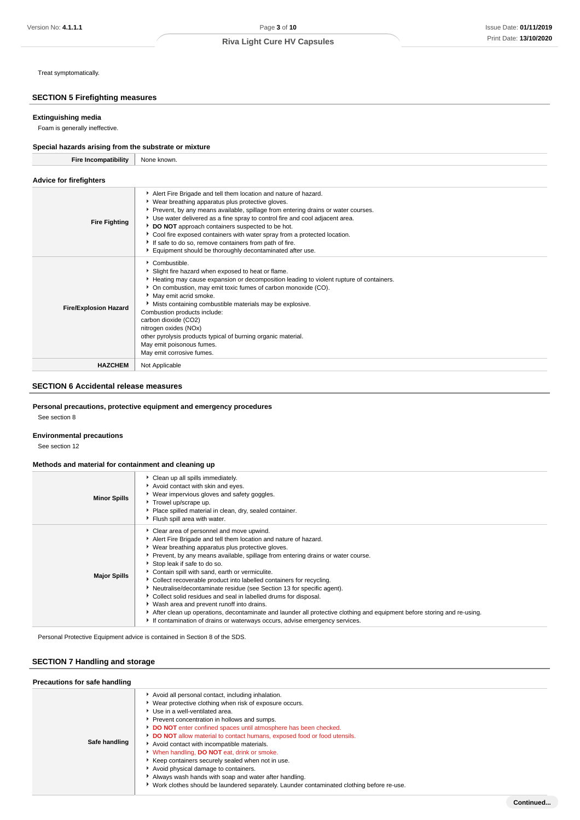Treat symptomatically.

## **SECTION 5 Firefighting measures**

#### **Extinguishing media**

Foam is generally ineffective.

#### **Special hazards arising from the substrate or mixture Fire Incompatibility** None known.

| Fire incompatibility           | None known.                                                                                                                                                                                                                                                                                                                                                                                                                                                                                                                                     |
|--------------------------------|-------------------------------------------------------------------------------------------------------------------------------------------------------------------------------------------------------------------------------------------------------------------------------------------------------------------------------------------------------------------------------------------------------------------------------------------------------------------------------------------------------------------------------------------------|
| <b>Advice for firefighters</b> |                                                                                                                                                                                                                                                                                                                                                                                                                                                                                                                                                 |
| <b>Fire Fighting</b>           | Alert Fire Brigade and tell them location and nature of hazard.<br>▶ Wear breathing apparatus plus protective gloves.<br>▶ Prevent, by any means available, spillage from entering drains or water courses.<br>Use water delivered as a fine spray to control fire and cool adjacent area.<br>DO NOT approach containers suspected to be hot.<br>Cool fire exposed containers with water spray from a protected location.<br>If safe to do so, remove containers from path of fire.<br>Equipment should be thoroughly decontaminated after use. |
| <b>Fire/Explosion Hazard</b>   | Combustible.<br>Slight fire hazard when exposed to heat or flame.<br>Heating may cause expansion or decomposition leading to violent rupture of containers.<br>• On combustion, may emit toxic fumes of carbon monoxide (CO).<br>May emit acrid smoke.<br>Mists containing combustible materials may be explosive.<br>Combustion products include:<br>carbon dioxide (CO2)<br>nitrogen oxides (NOx)<br>other pyrolysis products typical of burning organic material.<br>May emit poisonous fumes.<br>May emit corrosive fumes.                  |
| <b>HAZCHEM</b>                 | Not Applicable                                                                                                                                                                                                                                                                                                                                                                                                                                                                                                                                  |

## **SECTION 6 Accidental release measures**

## **Personal precautions, protective equipment and emergency procedures**

See section 8

## **Environmental precautions**

See section 12

## **Methods and material for containment and cleaning up**

| <b>Minor Spills</b> | • Clean up all spills immediately.<br>Avoid contact with skin and eyes.<br>▶ Wear impervious gloves and safety goggles.<br>Trowel up/scrape up.<br>Place spilled material in clean, dry, sealed container.<br>Flush spill area with water.                                                                                                                                                                                                                                                                                                                                                                                                                                                                                                                                                                         |
|---------------------|--------------------------------------------------------------------------------------------------------------------------------------------------------------------------------------------------------------------------------------------------------------------------------------------------------------------------------------------------------------------------------------------------------------------------------------------------------------------------------------------------------------------------------------------------------------------------------------------------------------------------------------------------------------------------------------------------------------------------------------------------------------------------------------------------------------------|
| <b>Major Spills</b> | Clear area of personnel and move upwind.<br>Alert Fire Brigade and tell them location and nature of hazard.<br>▶ Wear breathing apparatus plus protective gloves.<br>Prevent, by any means available, spillage from entering drains or water course.<br>Stop leak if safe to do so.<br>Contain spill with sand, earth or vermiculite.<br>Collect recoverable product into labelled containers for recycling.<br>• Neutralise/decontaminate residue (see Section 13 for specific agent).<br>Collect solid residues and seal in labelled drums for disposal.<br>• Wash area and prevent runoff into drains.<br>After clean up operations, decontaminate and launder all protective clothing and equipment before storing and re-using.<br>If contamination of drains or waterways occurs, advise emergency services. |

Personal Protective Equipment advice is contained in Section 8 of the SDS.

## **SECTION 7 Handling and storage**

| Precautions for safe handling |                                                                                                                                                                                                                                                                                                                                                                                                                                                                                                                                                                                                                                                                                                   |  |  |  |
|-------------------------------|---------------------------------------------------------------------------------------------------------------------------------------------------------------------------------------------------------------------------------------------------------------------------------------------------------------------------------------------------------------------------------------------------------------------------------------------------------------------------------------------------------------------------------------------------------------------------------------------------------------------------------------------------------------------------------------------------|--|--|--|
| Safe handling                 | Avoid all personal contact, including inhalation.<br>Wear protective clothing when risk of exposure occurs.<br>Use in a well-ventilated area.<br>Prevent concentration in hollows and sumps.<br>DO NOT enter confined spaces until atmosphere has been checked.<br>DO NOT allow material to contact humans, exposed food or food utensils.<br>Avoid contact with incompatible materials.<br>When handling, <b>DO NOT</b> eat, drink or smoke.<br>Keep containers securely sealed when not in use.<br>Avoid physical damage to containers.<br>Always wash hands with soap and water after handling.<br>► Work clothes should be laundered separately. Launder contaminated clothing before re-use. |  |  |  |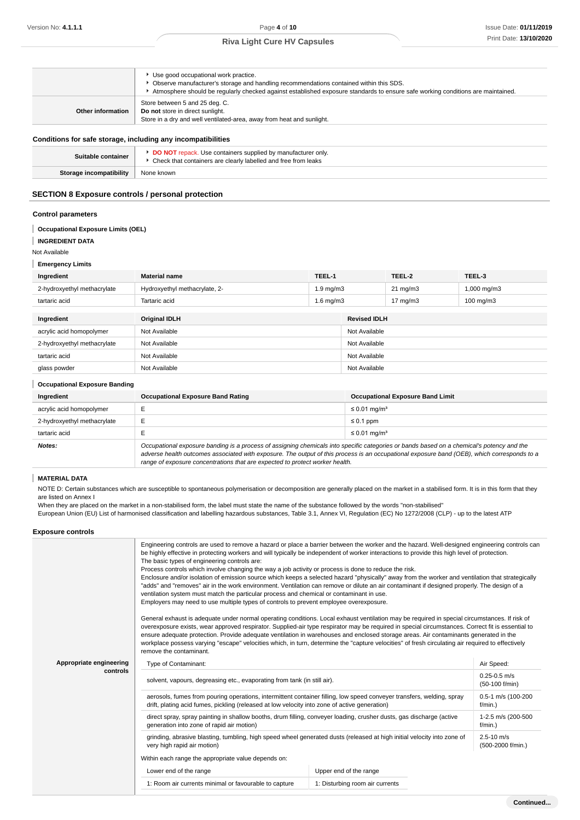|                   | Use good occupational work practice.<br>• Observe manufacturer's storage and handling recommendations contained within this SDS.<br>Atmosphere should be regularly checked against established exposure standards to ensure safe working conditions are maintained. |
|-------------------|---------------------------------------------------------------------------------------------------------------------------------------------------------------------------------------------------------------------------------------------------------------------|
| Other information | Store between 5 and 25 deg. C.<br>Do not store in direct sunlight.<br>Store in a dry and well ventilated-area, away from heat and sunlight.                                                                                                                         |
|                   |                                                                                                                                                                                                                                                                     |

## **Conditions for safe storage, including any incompatibilities**

| Suitable container      | DO NOT repack. Use containers supplied by manufacturer only.<br>• Check that containers are clearly labelled and free from leaks |
|-------------------------|----------------------------------------------------------------------------------------------------------------------------------|
| Storage incompatibility | None known                                                                                                                       |
|                         |                                                                                                                                  |

## **SECTION 8 Exposure controls / personal protection**

#### **Control parameters**

## **Occupational Exposure Limits (OEL)**

**INGREDIENT DATA** Ī

Not Available

**Emergency Limits**

| Ingredient                  | <b>Material name</b>          | TEEL-1             |                     | TEEL-2            | TEEL-3               |  |
|-----------------------------|-------------------------------|--------------------|---------------------|-------------------|----------------------|--|
| 2-hydroxyethyl methacrylate | Hydroxyethyl methacrylate, 2- | $1.9 \text{ mg/m}$ |                     | $21 \text{ mg/m}$ | 1,000 mg/m3          |  |
| tartaric acid               | Tartaric acid                 | $1.6$ mg/m $3$     |                     | $17 \text{ mg/m}$ | $100 \text{ mg/m}$ 3 |  |
|                             |                               |                    |                     |                   |                      |  |
| Ingredient                  | <b>Original IDLH</b>          |                    | <b>Revised IDLH</b> |                   |                      |  |
| acrylic acid homopolymer    | Not Available                 |                    |                     | Not Available     |                      |  |
| 2-hydroxyethyl methacrylate | Not Available                 |                    | Not Available       |                   |                      |  |
| tartaric acid               | Not Available                 |                    | Not Available       |                   |                      |  |
| glass powder                | Not Available                 |                    | Not Available       |                   |                      |  |

#### **Occupational Exposure Banding**

| Ingredient                  | <b>Occupational Exposure Band Rating</b>                                                                                                                                                                                                                                                 | <b>Occupational Exposure Band Limit</b> |  |
|-----------------------------|------------------------------------------------------------------------------------------------------------------------------------------------------------------------------------------------------------------------------------------------------------------------------------------|-----------------------------------------|--|
| acrylic acid homopolymer    |                                                                                                                                                                                                                                                                                          | $\leq$ 0.01 mg/m <sup>3</sup>           |  |
| 2-hydroxyethyl methacrylate |                                                                                                                                                                                                                                                                                          | $\leq 0.1$ ppm                          |  |
| tartaric acid               |                                                                                                                                                                                                                                                                                          | $\leq$ 0.01 mg/m <sup>3</sup>           |  |
| Notes:                      | Occupational exposure banding is a process of assigning chemicals into specific categories or bands based on a chemical's potency and the<br>adverse health outcomes associated with exposure. The output of this process is an occupational exposure band (OEB), which corresponds to a |                                         |  |

range of exposure concentrations that are expected to protect worker health.

#### T **MATERIAL DATA**

NOTE D: Certain substances which are susceptible to spontaneous polymerisation or decomposition are generally placed on the market in a stabilised form. It is in this form that they are listed on Annex I

When they are placed on the market in a non-stabilised form, the label must state the name of the substance followed by the words "non-stabilised" European Union (EU) List of harmonised classification and labelling hazardous substances, Table 3.1, Annex VI, Regulation (EC) No 1272/2008 (CLP) - up to the latest ATP

## **Exposure controls**

|                         | Engineering controls are used to remove a hazard or place a barrier between the worker and the hazard. Well-designed engineering controls can<br>be highly effective in protecting workers and will typically be independent of worker interactions to provide this high level of protection.<br>The basic types of engineering controls are:<br>Process controls which involve changing the way a job activity or process is done to reduce the risk.<br>Enclosure and/or isolation of emission source which keeps a selected hazard "physically" away from the worker and ventilation that strategically<br>"adds" and "removes" air in the work environment. Ventilation can remove or dilute an air contaminant if designed properly. The design of a<br>ventilation system must match the particular process and chemical or contaminant in use.<br>Employers may need to use multiple types of controls to prevent employee overexposure.<br>General exhaust is adequate under normal operating conditions. Local exhaust ventilation may be required in special circumstances. If risk of<br>overexposure exists, wear approved respirator. Supplied-air type respirator may be required in special circumstances. Correct fit is essential to<br>ensure adequate protection. Provide adequate ventilation in warehouses and enclosed storage areas. Air contaminants generated in the<br>workplace possess varying "escape" velocities which, in turn, determine the "capture velocities" of fresh circulating air required to effectively<br>remove the contaminant. |                        |                                     |  |
|-------------------------|-------------------------------------------------------------------------------------------------------------------------------------------------------------------------------------------------------------------------------------------------------------------------------------------------------------------------------------------------------------------------------------------------------------------------------------------------------------------------------------------------------------------------------------------------------------------------------------------------------------------------------------------------------------------------------------------------------------------------------------------------------------------------------------------------------------------------------------------------------------------------------------------------------------------------------------------------------------------------------------------------------------------------------------------------------------------------------------------------------------------------------------------------------------------------------------------------------------------------------------------------------------------------------------------------------------------------------------------------------------------------------------------------------------------------------------------------------------------------------------------------------------------------------------------------------------------------------|------------------------|-------------------------------------|--|
| Appropriate engineering | Type of Contaminant:                                                                                                                                                                                                                                                                                                                                                                                                                                                                                                                                                                                                                                                                                                                                                                                                                                                                                                                                                                                                                                                                                                                                                                                                                                                                                                                                                                                                                                                                                                                                                          |                        | Air Speed:                          |  |
| controls                | solvent, vapours, degreasing etc., evaporating from tank (in still air).                                                                                                                                                                                                                                                                                                                                                                                                                                                                                                                                                                                                                                                                                                                                                                                                                                                                                                                                                                                                                                                                                                                                                                                                                                                                                                                                                                                                                                                                                                      |                        | $0.25 - 0.5$ m/s<br>(50-100 f/min)  |  |
|                         | aerosols, fumes from pouring operations, intermittent container filling, low speed conveyer transfers, welding, spray<br>drift, plating acid fumes, pickling (released at low velocity into zone of active generation)                                                                                                                                                                                                                                                                                                                                                                                                                                                                                                                                                                                                                                                                                                                                                                                                                                                                                                                                                                                                                                                                                                                                                                                                                                                                                                                                                        |                        | 0.5-1 m/s (100-200<br>$f/min.$ )    |  |
|                         | direct spray, spray painting in shallow booths, drum filling, conveyer loading, crusher dusts, gas discharge (active<br>generation into zone of rapid air motion)                                                                                                                                                                                                                                                                                                                                                                                                                                                                                                                                                                                                                                                                                                                                                                                                                                                                                                                                                                                                                                                                                                                                                                                                                                                                                                                                                                                                             |                        | 1-2.5 m/s (200-500<br>$f/min.$ )    |  |
|                         | grinding, abrasive blasting, tumbling, high speed wheel generated dusts (released at high initial velocity into zone of<br>very high rapid air motion)                                                                                                                                                                                                                                                                                                                                                                                                                                                                                                                                                                                                                                                                                                                                                                                                                                                                                                                                                                                                                                                                                                                                                                                                                                                                                                                                                                                                                        |                        | $2.5 - 10$ m/s<br>(500-2000 f/min.) |  |
|                         | Within each range the appropriate value depends on:                                                                                                                                                                                                                                                                                                                                                                                                                                                                                                                                                                                                                                                                                                                                                                                                                                                                                                                                                                                                                                                                                                                                                                                                                                                                                                                                                                                                                                                                                                                           |                        |                                     |  |
|                         | Lower end of the range                                                                                                                                                                                                                                                                                                                                                                                                                                                                                                                                                                                                                                                                                                                                                                                                                                                                                                                                                                                                                                                                                                                                                                                                                                                                                                                                                                                                                                                                                                                                                        | Upper end of the range |                                     |  |
|                         | 1: Room air currents minimal or favourable to capture<br>1: Disturbing room air currents                                                                                                                                                                                                                                                                                                                                                                                                                                                                                                                                                                                                                                                                                                                                                                                                                                                                                                                                                                                                                                                                                                                                                                                                                                                                                                                                                                                                                                                                                      |                        |                                     |  |
|                         |                                                                                                                                                                                                                                                                                                                                                                                                                                                                                                                                                                                                                                                                                                                                                                                                                                                                                                                                                                                                                                                                                                                                                                                                                                                                                                                                                                                                                                                                                                                                                                               |                        |                                     |  |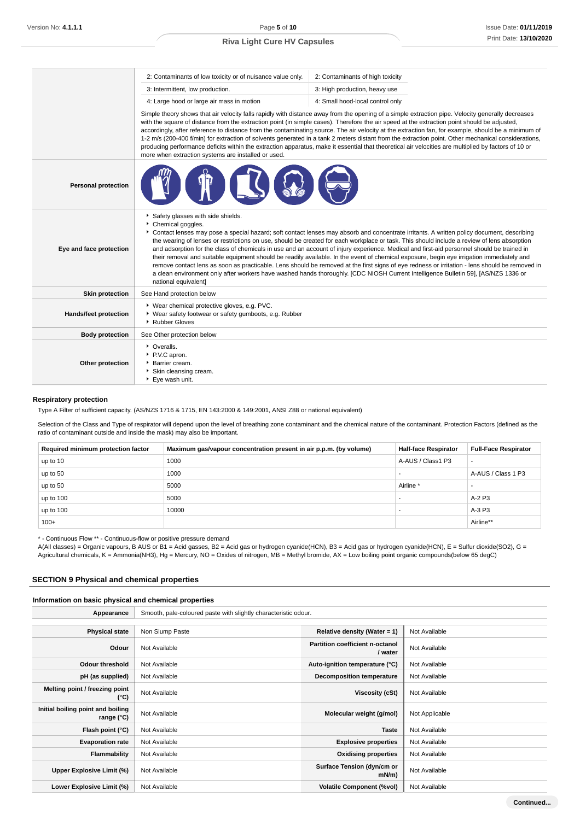|                              | 2: Contaminants of low toxicity or of nuisance value only.                                                                                                                                                                                                                                                                                                                                                                                                                                                                                                                                                                                                                                                                                                                                                                                                                                                                                                    | 2: Contaminants of high toxicity |  |  |
|------------------------------|---------------------------------------------------------------------------------------------------------------------------------------------------------------------------------------------------------------------------------------------------------------------------------------------------------------------------------------------------------------------------------------------------------------------------------------------------------------------------------------------------------------------------------------------------------------------------------------------------------------------------------------------------------------------------------------------------------------------------------------------------------------------------------------------------------------------------------------------------------------------------------------------------------------------------------------------------------------|----------------------------------|--|--|
|                              | 3: Intermittent, low production.                                                                                                                                                                                                                                                                                                                                                                                                                                                                                                                                                                                                                                                                                                                                                                                                                                                                                                                              | 3: High production, heavy use    |  |  |
|                              | 4: Large hood or large air mass in motion                                                                                                                                                                                                                                                                                                                                                                                                                                                                                                                                                                                                                                                                                                                                                                                                                                                                                                                     | 4: Small hood-local control only |  |  |
|                              | Simple theory shows that air velocity falls rapidly with distance away from the opening of a simple extraction pipe. Velocity generally decreases<br>with the square of distance from the extraction point (in simple cases). Therefore the air speed at the extraction point should be adjusted,<br>accordingly, after reference to distance from the contaminating source. The air velocity at the extraction fan, for example, should be a minimum of<br>1-2 m/s (200-400 f/min) for extraction of solvents generated in a tank 2 meters distant from the extraction point. Other mechanical considerations,<br>producing performance deficits within the extraction apparatus, make it essential that theoretical air velocities are multiplied by factors of 10 or<br>more when extraction systems are installed or used.                                                                                                                                |                                  |  |  |
| <b>Personal protection</b>   |                                                                                                                                                                                                                                                                                                                                                                                                                                                                                                                                                                                                                                                                                                                                                                                                                                                                                                                                                               |                                  |  |  |
| Eye and face protection      | Safety glasses with side shields.<br>Chemical goggles.<br>Contact lenses may pose a special hazard; soft contact lenses may absorb and concentrate irritants. A written policy document, describing<br>the wearing of lenses or restrictions on use, should be created for each workplace or task. This should include a review of lens absorption<br>and adsorption for the class of chemicals in use and an account of injury experience. Medical and first-aid personnel should be trained in<br>their removal and suitable equipment should be readily available. In the event of chemical exposure, begin eye irrigation immediately and<br>remove contact lens as soon as practicable. Lens should be removed at the first signs of eye redness or irritation - lens should be removed in<br>a clean environment only after workers have washed hands thoroughly. [CDC NIOSH Current Intelligence Bulletin 59], [AS/NZS 1336 or<br>national equivalent] |                                  |  |  |
| <b>Skin protection</b>       | See Hand protection below                                                                                                                                                                                                                                                                                                                                                                                                                                                                                                                                                                                                                                                                                                                                                                                                                                                                                                                                     |                                  |  |  |
| <b>Hands/feet protection</b> | ▶ Wear chemical protective gloves, e.g. PVC.<br>• Wear safety footwear or safety gumboots, e.g. Rubber<br>▶ Rubber Gloves                                                                                                                                                                                                                                                                                                                                                                                                                                                                                                                                                                                                                                                                                                                                                                                                                                     |                                  |  |  |
| <b>Body protection</b>       | See Other protection below                                                                                                                                                                                                                                                                                                                                                                                                                                                                                                                                                                                                                                                                                                                                                                                                                                                                                                                                    |                                  |  |  |
| Other protection             | • Overalls.<br>P.V.C apron.<br>Barrier cream.<br>Skin cleansing cream.<br>▶ Eye wash unit.                                                                                                                                                                                                                                                                                                                                                                                                                                                                                                                                                                                                                                                                                                                                                                                                                                                                    |                                  |  |  |

## **Respiratory protection**

Type A Filter of sufficient capacity. (AS/NZS 1716 & 1715, EN 143:2000 & 149:2001, ANSI Z88 or national equivalent)

Selection of the Class and Type of respirator will depend upon the level of breathing zone contaminant and the chemical nature of the contaminant. Protection Factors (defined as the ratio of contaminant outside and inside the mask) may also be important.

| Required minimum protection factor | Maximum gas/vapour concentration present in air p.p.m. (by volume) | <b>Half-face Respirator</b> | <b>Full-Face Respirator</b> |
|------------------------------------|--------------------------------------------------------------------|-----------------------------|-----------------------------|
| up to 10                           | 1000                                                               | A-AUS / Class1 P3           | $\overline{\phantom{a}}$    |
| up to 50                           | 1000                                                               |                             | A-AUS / Class 1 P3          |
| up to 50                           | 5000                                                               | Airline <sup>*</sup>        |                             |
| up to 100                          | 5000                                                               |                             | $A-2P3$                     |
| up to 100                          | 10000                                                              |                             | A-3 P3                      |
| $100+$                             |                                                                    |                             | Airline**                   |

\* - Continuous Flow \*\* - Continuous-flow or positive pressure demand

A(All classes) = Organic vapours, B AUS or B1 = Acid gasses, B2 = Acid gas or hydrogen cyanide(HCN), B3 = Acid gas or hydrogen cyanide(HCN), E = Sulfur dioxide(SO2), G = Agricultural chemicals, K = Ammonia(NH3), Hg = Mercury, NO = Oxides of nitrogen, MB = Methyl bromide, AX = Low boiling point organic compounds(below 65 degC)

## **SECTION 9 Physical and chemical properties**

## **Information on basic physical and chemical properties**

| Appearance                                      | Smooth, pale-coloured paste with slightly characteristic odour. |                                           |                |
|-------------------------------------------------|-----------------------------------------------------------------|-------------------------------------------|----------------|
| <b>Physical state</b>                           | Non Slump Paste                                                 | Relative density (Water = $1$ )           | Not Available  |
| Odour                                           | Not Available                                                   | Partition coefficient n-octanol<br>/water | Not Available  |
| Odour threshold                                 | Not Available                                                   | Auto-ignition temperature (°C)            | Not Available  |
| pH (as supplied)                                | Not Available                                                   | <b>Decomposition temperature</b>          | Not Available  |
| Melting point / freezing point<br>(°C)          | Not Available                                                   | Viscosity (cSt)                           | Not Available  |
| Initial boiling point and boiling<br>range (°C) | Not Available                                                   | Molecular weight (g/mol)                  | Not Applicable |
| Flash point (°C)                                | Not Available                                                   | <b>Taste</b>                              | Not Available  |
| <b>Evaporation rate</b>                         | Not Available                                                   | <b>Explosive properties</b>               | Not Available  |
| Flammability                                    | Not Available                                                   | <b>Oxidising properties</b>               | Not Available  |
| Upper Explosive Limit (%)                       | Not Available                                                   | Surface Tension (dyn/cm or<br>mN/m        | Not Available  |
| Lower Explosive Limit (%)                       | Not Available                                                   | <b>Volatile Component (%vol)</b>          | Not Available  |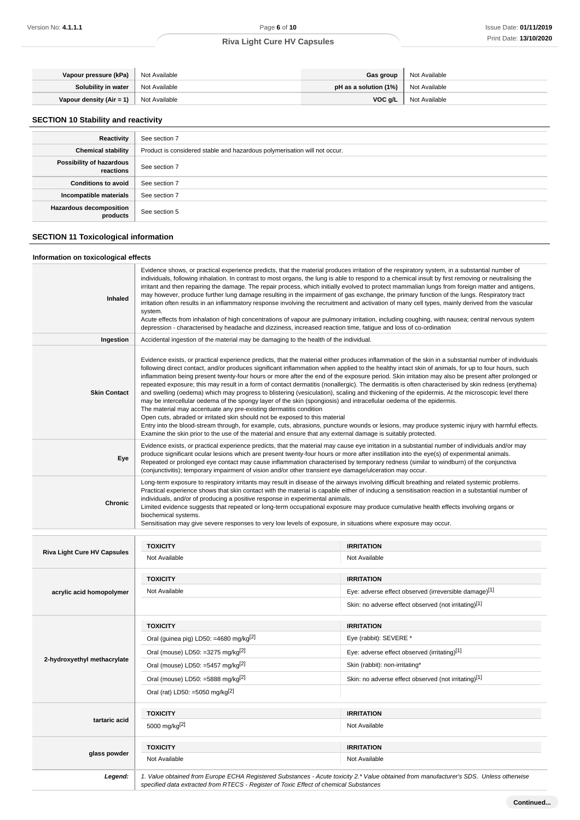| Vapour pressure (kPa)                    | Not Available   | Gas group                                  | Not Available |
|------------------------------------------|-----------------|--------------------------------------------|---------------|
| Solubility in water                      | ' Not Available | <b>pH as a solution (1%)</b> Not Available |               |
| Vapour density $(Air = 1)$ Not Available |                 | VOC a/L                                    | Not Available |

## **SECTION 10 Stability and reactivity**

| Reactivity                                 | See section 7                                                             |
|--------------------------------------------|---------------------------------------------------------------------------|
| <b>Chemical stability</b>                  | Product is considered stable and hazardous polymerisation will not occur. |
| Possibility of hazardous<br>reactions      | See section 7                                                             |
| <b>Conditions to avoid</b>                 | See section 7                                                             |
| Incompatible materials                     | See section 7                                                             |
| <b>Hazardous decomposition</b><br>products | See section 5                                                             |

## **SECTION 11 Toxicological information**

## **Information on toxicological effects**

| Inhaled                            | Evidence shows, or practical experience predicts, that the material produces irritation of the respiratory system, in a substantial number of<br>individuals, following inhalation. In contrast to most organs, the lung is able to respond to a chemical insult by first removing or neutralising the<br>irritant and then repairing the damage. The repair process, which initially evolved to protect mammalian lungs from foreign matter and antigens,<br>may however, produce further lung damage resulting in the impairment of gas exchange, the primary function of the lungs. Respiratory tract<br>irritation often results in an inflammatory response involving the recruitment and activation of many cell types, mainly derived from the vascular<br>system.<br>Acute effects from inhalation of high concentrations of vapour are pulmonary irritation, including coughing, with nausea; central nervous system<br>depression - characterised by headache and dizziness, increased reaction time, fatique and loss of co-ordination                                                                                                                                                                                                                                                                     |                                                       |  |
|------------------------------------|-----------------------------------------------------------------------------------------------------------------------------------------------------------------------------------------------------------------------------------------------------------------------------------------------------------------------------------------------------------------------------------------------------------------------------------------------------------------------------------------------------------------------------------------------------------------------------------------------------------------------------------------------------------------------------------------------------------------------------------------------------------------------------------------------------------------------------------------------------------------------------------------------------------------------------------------------------------------------------------------------------------------------------------------------------------------------------------------------------------------------------------------------------------------------------------------------------------------------------------------------------------------------------------------------------------------------|-------------------------------------------------------|--|
| Ingestion                          | Accidental ingestion of the material may be damaging to the health of the individual.                                                                                                                                                                                                                                                                                                                                                                                                                                                                                                                                                                                                                                                                                                                                                                                                                                                                                                                                                                                                                                                                                                                                                                                                                                 |                                                       |  |
| <b>Skin Contact</b>                | Evidence exists, or practical experience predicts, that the material either produces inflammation of the skin in a substantial number of individuals<br>following direct contact, and/or produces significant inflammation when applied to the healthy intact skin of animals, for up to four hours, such<br>inflammation being present twenty-four hours or more after the end of the exposure period. Skin irritation may also be present after prolonged or<br>repeated exposure; this may result in a form of contact dermatitis (nonallergic). The dermatitis is often characterised by skin redness (erythema)<br>and swelling (oedema) which may progress to blistering (vesiculation), scaling and thickening of the epidermis. At the microscopic level there<br>may be intercellular oedema of the spongy layer of the skin (spongiosis) and intracellular oedema of the epidermis.<br>The material may accentuate any pre-existing dermatitis condition<br>Open cuts, abraded or irritated skin should not be exposed to this material<br>Entry into the blood-stream through, for example, cuts, abrasions, puncture wounds or lesions, may produce systemic injury with harmful effects.<br>Examine the skin prior to the use of the material and ensure that any external damage is suitably protected. |                                                       |  |
| Eye                                | Evidence exists, or practical experience predicts, that the material may cause eye irritation in a substantial number of individuals and/or may<br>produce significant ocular lesions which are present twenty-four hours or more after instillation into the eye(s) of experimental animals.<br>Repeated or prolonged eye contact may cause inflammation characterised by temporary redness (similar to windburn) of the conjunctiva<br>(conjunctivitis); temporary impairment of vision and/or other transient eye damage/ulceration may occur.                                                                                                                                                                                                                                                                                                                                                                                                                                                                                                                                                                                                                                                                                                                                                                     |                                                       |  |
| Chronic                            | Long-term exposure to respiratory irritants may result in disease of the airways involving difficult breathing and related systemic problems.<br>Practical experience shows that skin contact with the material is capable either of inducing a sensitisation reaction in a substantial number of<br>individuals, and/or of producing a positive response in experimental animals.<br>Limited evidence suggests that repeated or long-term occupational exposure may produce cumulative health effects involving organs or<br>biochemical systems.<br>Sensitisation may give severe responses to very low levels of exposure, in situations where exposure may occur.                                                                                                                                                                                                                                                                                                                                                                                                                                                                                                                                                                                                                                                 |                                                       |  |
|                                    |                                                                                                                                                                                                                                                                                                                                                                                                                                                                                                                                                                                                                                                                                                                                                                                                                                                                                                                                                                                                                                                                                                                                                                                                                                                                                                                       |                                                       |  |
|                                    |                                                                                                                                                                                                                                                                                                                                                                                                                                                                                                                                                                                                                                                                                                                                                                                                                                                                                                                                                                                                                                                                                                                                                                                                                                                                                                                       |                                                       |  |
| <b>Riva Light Cure HV Capsules</b> | <b>TOXICITY</b>                                                                                                                                                                                                                                                                                                                                                                                                                                                                                                                                                                                                                                                                                                                                                                                                                                                                                                                                                                                                                                                                                                                                                                                                                                                                                                       | <b>IRRITATION</b>                                     |  |
|                                    | Not Available                                                                                                                                                                                                                                                                                                                                                                                                                                                                                                                                                                                                                                                                                                                                                                                                                                                                                                                                                                                                                                                                                                                                                                                                                                                                                                         | Not Available                                         |  |
|                                    | <b>TOXICITY</b>                                                                                                                                                                                                                                                                                                                                                                                                                                                                                                                                                                                                                                                                                                                                                                                                                                                                                                                                                                                                                                                                                                                                                                                                                                                                                                       | <b>IRRITATION</b>                                     |  |
| acrylic acid homopolymer           | Not Available                                                                                                                                                                                                                                                                                                                                                                                                                                                                                                                                                                                                                                                                                                                                                                                                                                                                                                                                                                                                                                                                                                                                                                                                                                                                                                         | Eye: adverse effect observed (irreversible damage)[1] |  |
|                                    |                                                                                                                                                                                                                                                                                                                                                                                                                                                                                                                                                                                                                                                                                                                                                                                                                                                                                                                                                                                                                                                                                                                                                                                                                                                                                                                       | Skin: no adverse effect observed (not irritating)[1]  |  |
|                                    | <b>TOXICITY</b>                                                                                                                                                                                                                                                                                                                                                                                                                                                                                                                                                                                                                                                                                                                                                                                                                                                                                                                                                                                                                                                                                                                                                                                                                                                                                                       | <b>IRRITATION</b>                                     |  |
|                                    | Oral (guinea pig) LD50: =4680 mg/kg <sup>[2]</sup>                                                                                                                                                                                                                                                                                                                                                                                                                                                                                                                                                                                                                                                                                                                                                                                                                                                                                                                                                                                                                                                                                                                                                                                                                                                                    | Eye (rabbit): SEVERE *                                |  |
|                                    | Oral (mouse) LD50: =3275 mg/kg $^{[2]}$                                                                                                                                                                                                                                                                                                                                                                                                                                                                                                                                                                                                                                                                                                                                                                                                                                                                                                                                                                                                                                                                                                                                                                                                                                                                               | Eye: adverse effect observed (irritating)[1]          |  |
| 2-hydroxyethyl methacrylate        | Oral (mouse) LD50: =5457 mg/kg <sup>[2]</sup>                                                                                                                                                                                                                                                                                                                                                                                                                                                                                                                                                                                                                                                                                                                                                                                                                                                                                                                                                                                                                                                                                                                                                                                                                                                                         | Skin (rabbit): non-irritating*                        |  |
|                                    | Oral (mouse) LD50: =5888 mg/kg $^{[2]}$                                                                                                                                                                                                                                                                                                                                                                                                                                                                                                                                                                                                                                                                                                                                                                                                                                                                                                                                                                                                                                                                                                                                                                                                                                                                               | Skin: no adverse effect observed (not irritating)[1]  |  |
|                                    | Oral (rat) LD50: =5050 mg/kg <sup>[2]</sup>                                                                                                                                                                                                                                                                                                                                                                                                                                                                                                                                                                                                                                                                                                                                                                                                                                                                                                                                                                                                                                                                                                                                                                                                                                                                           |                                                       |  |
|                                    | <b>TOXICITY</b>                                                                                                                                                                                                                                                                                                                                                                                                                                                                                                                                                                                                                                                                                                                                                                                                                                                                                                                                                                                                                                                                                                                                                                                                                                                                                                       | <b>IRRITATION</b>                                     |  |
| tartaric acid                      | 5000 mg/kg[2]                                                                                                                                                                                                                                                                                                                                                                                                                                                                                                                                                                                                                                                                                                                                                                                                                                                                                                                                                                                                                                                                                                                                                                                                                                                                                                         | Not Available                                         |  |
|                                    |                                                                                                                                                                                                                                                                                                                                                                                                                                                                                                                                                                                                                                                                                                                                                                                                                                                                                                                                                                                                                                                                                                                                                                                                                                                                                                                       |                                                       |  |
| glass powder                       | <b>TOXICITY</b><br>Not Available                                                                                                                                                                                                                                                                                                                                                                                                                                                                                                                                                                                                                                                                                                                                                                                                                                                                                                                                                                                                                                                                                                                                                                                                                                                                                      | <b>IRRITATION</b><br>Not Available                    |  |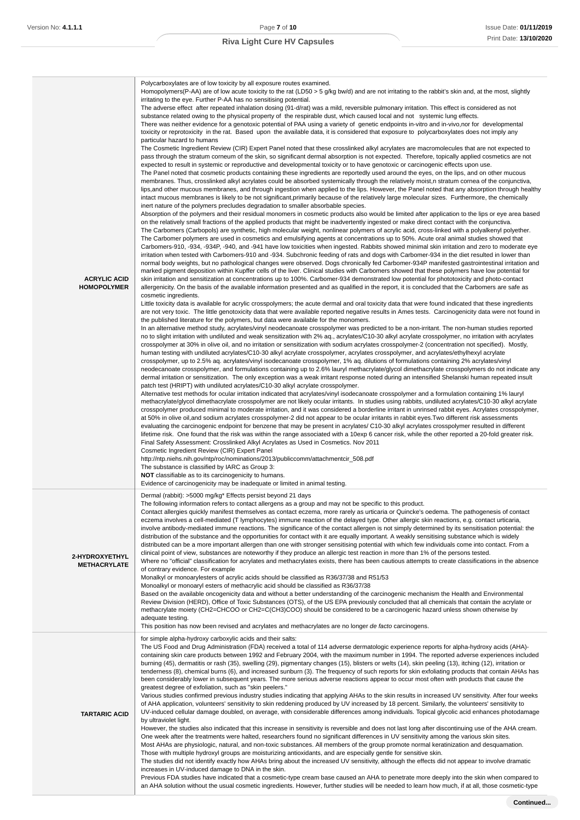| <b>ACRYLIC ACID</b><br><b>HOMOPOLYMER</b> | Polycarboxylates are of low toxicity by all exposure routes examined.<br>Homopolymers(P-AA) are of low acute toxicity to the rat (LD50 > 5 g/kg bw/d) and are not irritating to the rabbit's skin and, at the most, slightly<br>irritating to the eye. Further P-AA has no sensitising potential.<br>The adverse effect after repeated inhalation dosing (91-d/rat) was a mild, reversible pulmonary irritation. This effect is considered as not<br>substance related owing to the physical property of the respirable dust, which caused local and not systemic lung effects.<br>There was neither evidence for a genotoxic potential of PAA using a variety of genetic endpoints in-vitro and in-vivo, nor for developmental<br>toxicity or reprotoxicity in the rat. Based upon the available data, it is considered that exposure to polycarboxylates does not imply any<br>particular hazard to humans<br>The Cosmetic Ingredient Review (CIR) Expert Panel noted that these crosslinked alkyl acrylates are macromolecules that are not expected to<br>pass through the stratum corneum of the skin, so significant dermal absorption is not expected. Therefore, topically applied cosmetics are not<br>expected to result in systemic or reproductive and developmental toxicity or to have genotoxic or carcinogenic effects upon use.<br>The Panel noted that cosmetic products containing these ingredients are reportedly used around the eyes, on the lips, and on other mucous<br>membranes. Thus, crosslinked alkyl acrylates could be absorbed systemically through the relatively moist, n stratum cornea of the conjunctiva,<br>lips, and other mucous membranes, and through ingestion when applied to the lips. However, the Panel noted that any absorption through healthy<br>intact mucous membranes is likely to be not significant, primarily because of the relatively large molecular sizes. Furthermore, the chemically<br>inert nature of the polymers precludes degradation to smaller absorbable species.<br>Absorption of the polymers and their residual monomers in cosmetic products also would be limited after application to the lips or eye area based<br>on the relatively small fractions of the applied products that might be inadvertently ingested or make direct contact with the conjunctiva.<br>The Carbomers (Carbopols) are synthetic, high molecular weight, nonlinear polymers of acrylic acid, cross-linked with a polyalkenyl polyether.<br>The Carbomer polymers are used in cosmetics and emulsifying agents at concentrations up to 50%. Acute oral animal studies showed that<br>Carbomers-910, -934, -934P, -940, and -941 have low toxicities when ingested. Rabbits showed minimal skin irritation and zero to moderate eye<br>irritation when tested with Carbomers-910 and -934. Subchronic feeding of rats and dogs with Carbomer-934 in the diet resulted in lower than<br>normal body weights, but no pathological changes were observed. Dogs chronically fed Carbomer-934P manifested gastrointestinal irritation and<br>marked pigment deposition within Kupffer cells of the liver. Clinical studies with Carbomers showed that these polymers have low potential for<br>skin irritation and sensitization at concentrations up to 100%. Carbomer-934 demonstrated low potential for phototoxicity and photo-contact<br>allergenicity. On the basis of the available information presented and as qualified in the report, it is concluded that the Carbomers are safe as<br>cosmetic ingredients.<br>Little toxicity data is available for acrylic crosspolymers; the acute dermal and oral toxicity data that were found indicated that these ingredients<br>are not very toxic. The little genotoxicity data that were available reported negative results in Ames tests. Carcinogenicity data were not found in<br>the published literature for the polymers, but data were available for the monomers.<br>In an alternative method study, acrylates/vinyl neodecanoate crosspolymer was predicted to be a non-irritant. The non-human studies reported<br>no to slight irritation with undiluted and weak sensitization with 2% aq., acrylates/C10-30 alkyl acrylate crosspolymer, no irritation with acrylates<br>crosspolymer at 30% in olive oil, and no irritation or sensitization with sodium acrylates crosspolymer-2 (concentration not specified). Mostly,<br>human testing with undiluted acrylates/C10-30 alkyl acrylate crosspolymer, acrylates crosspolymer, and acrylates/ethylhexyl acrylate<br>crosspolymer, up to 2.5% aq. acrylates/vinyl isodecanoate crosspolymer, 1% aq. dilutions of formulations containing 2% acrylates/vinyl<br>neodecanoate crosspolymer, and formulations containing up to 2.6% lauryl methacrylate/glycol dimethacrylate crosspolymers do not indicate any<br>dermal irritation or sensitization. The only exception was a weak irritant response noted during an intensified Shelanski human repeated insult<br>patch test (HRIPT) with undiluted acrylates/C10-30 alkyl acrylate crosspolymer.<br>Alternative test methods for ocular irritation indicated that acrylates/vinyl isodecanoate crosspolymer and a formulation containing 1% lauryl<br>methacrylate/glycol dimethacrylate crosspolymer are not likely ocular irritants. In studies using rabbits, undiluted acrylates/C10-30 alkyl acrylate<br>crosspolymer produced minimal to moderate irritation, and it was considered a borderline irritant in unrinsed rabbit eyes. Acrylates crosspolymer,<br>at 50% in olive oil, and sodium acrylates crosspolymer-2 did not appear to be ocular irritants in rabbit eyes. Two different risk assessments<br>evaluating the carcinogenic endpoint for benzene that may be present in acrylates/C10-30 alkyl acrylates crosspolymer resulted in different<br>lifetime risk. One found that the risk was within the range associated with a 10exp 6 cancer risk, while the other reported a 20-fold greater risk.<br>Final Safety Assessment: Crosslinked Alkyl Acrylates as Used in Cosmetics. Nov 2011<br>Cosmetic Ingredient Review (CIR) Expert Panel<br>http://ntp.niehs.nih.gov/ntp/roc/nominations/2013/publiccomm/attachmentcir_508.pdf<br>The substance is classified by IARC as Group 3:<br>NOT classifiable as to its carcinogenicity to humans.<br>Evidence of carcinogenicity may be inadequate or limited in animal testing. |
|-------------------------------------------|--------------------------------------------------------------------------------------------------------------------------------------------------------------------------------------------------------------------------------------------------------------------------------------------------------------------------------------------------------------------------------------------------------------------------------------------------------------------------------------------------------------------------------------------------------------------------------------------------------------------------------------------------------------------------------------------------------------------------------------------------------------------------------------------------------------------------------------------------------------------------------------------------------------------------------------------------------------------------------------------------------------------------------------------------------------------------------------------------------------------------------------------------------------------------------------------------------------------------------------------------------------------------------------------------------------------------------------------------------------------------------------------------------------------------------------------------------------------------------------------------------------------------------------------------------------------------------------------------------------------------------------------------------------------------------------------------------------------------------------------------------------------------------------------------------------------------------------------------------------------------------------------------------------------------------------------------------------------------------------------------------------------------------------------------------------------------------------------------------------------------------------------------------------------------------------------------------------------------------------------------------------------------------------------------------------------------------------------------------------------------------------------------------------------------------------------------------------------------------------------------------------------------------------------------------------------------------------------------------------------------------------------------------------------------------------------------------------------------------------------------------------------------------------------------------------------------------------------------------------------------------------------------------------------------------------------------------------------------------------------------------------------------------------------------------------------------------------------------------------------------------------------------------------------------------------------------------------------------------------------------------------------------------------------------------------------------------------------------------------------------------------------------------------------------------------------------------------------------------------------------------------------------------------------------------------------------------------------------------------------------------------------------------------------------------------------------------------------------------------------------------------------------------------------------------------------------------------------------------------------------------------------------------------------------------------------------------------------------------------------------------------------------------------------------------------------------------------------------------------------------------------------------------------------------------------------------------------------------------------------------------------------------------------------------------------------------------------------------------------------------------------------------------------------------------------------------------------------------------------------------------------------------------------------------------------------------------------------------------------------------------------------------------------------------------------------------------------------------------------------------------------------------------------------------------------------------------------------------------------------------------------------------------------------------------------------------------------------------------------------------------------------------------------------------------------------------------------------------------------------------------------------------------------------------------------------------------------------------------------------------------------------------------------------------------------------------------------------------------------------------------------------------------------------------------------------------------------------------------------------------------------------------------------------------------------------------------------------------------------------------------------------------------------------------------------------------------------------------------------------------------------------------------------------------------------------------------------------------------------------------------------------------------------------------------------------------------------------------------------------------------------------------------------------------------------------------------------------------------------------------------------------------------------------------------------------------------------------------------------------------------------------------------------------------------------------------------------------------------------------------------------------------------------------------------------------------------------------------|
| 2-HYDROXYETHYL<br><b>METHACRYLATE</b>     | Dermal (rabbit): >5000 mg/kg* Effects persist beyond 21 days<br>The following information refers to contact allergens as a group and may not be specific to this product.<br>Contact allergies quickly manifest themselves as contact eczema, more rarely as urticaria or Quincke's oedema. The pathogenesis of contact<br>eczema involves a cell-mediated (T lymphocytes) immune reaction of the delayed type. Other allergic skin reactions, e.g. contact urticaria,<br>involve antibody-mediated immune reactions. The significance of the contact allergen is not simply determined by its sensitisation potential: the<br>distribution of the substance and the opportunities for contact with it are equally important. A weakly sensitising substance which is widely<br>distributed can be a more important allergen than one with stronger sensitising potential with which few individuals come into contact. From a<br>clinical point of view, substances are noteworthy if they produce an allergic test reaction in more than 1% of the persons tested.<br>Where no "official" classification for acrylates and methacrylates exists, there has been cautious attempts to create classifications in the absence<br>of contrary evidence. For example<br>Monalkyl or monoarylesters of acrylic acids should be classified as R36/37/38 and R51/53<br>Monoalkyl or monoaryl esters of methacrylic acid should be classified as R36/37/38<br>Based on the available oncogenicity data and without a better understanding of the carcinogenic mechanism the Health and Environmental<br>Review Division (HERD), Office of Toxic Substances (OTS), of the US EPA previously concluded that all chemicals that contain the acrylate or<br>methacrylate moiety (CH2=CHCOO or CH2=C(CH3)COO) should be considered to be a carcinogenic hazard unless shown otherwise by<br>adequate testing.<br>This position has now been revised and acrylates and methacrylates are no longer de facto carcinogens.                                                                                                                                                                                                                                                                                                                                                                                                                                                                                                                                                                                                                                                                                                                                                                                                                                                                                                                                                                                                                                                                                                                                                                                                                                                                                                                                                                                                                                                                                                                                                                                                                                                                                                                                                                                                                                                                                                                                                                                                                                                                                                                                                                                                                                                                                                                                                                                                                                                                                                                                                                                                                                                                                                                                                                                                                                                                                                                                                                                                                                                                                                                                                                                                                                                                                                                                                                                                                                                                                                                                                                                                                                                                                                                                                                                                                                                                                                                                                                                                                                                                                                                                                                                                                                                                                                                                                                                                                                                              |
| <b>TARTARIC ACID</b>                      | for simple alpha-hydroxy carboxylic acids and their salts:<br>The US Food and Drug Administration (FDA) received a total of 114 adverse dermatologic experience reports for alpha-hydroxy acids (AHA)-<br>containing skin care products between 1992 and February 2004, with the maximum number in 1994. The reported adverse experiences included<br>burning (45), dermatitis or rash (35), swelling (29), pigmentary changes (15), blisters or welts (14), skin peeling (13), itching (12), irritation or<br>tenderness (8), chemical burns (6), and increased sunburn (3). The frequency of such reports for skin exfoliating products that contain AHAs has<br>been considerably lower in subsequent years. The more serious adverse reactions appear to occur most often with products that cause the<br>greatest degree of exfoliation, such as "skin peelers."<br>Various studies confirmed previous industry studies indicating that applying AHAs to the skin results in increased UV sensitivity. After four weeks<br>of AHA application, volunteers' sensitivity to skin reddening produced by UV increased by 18 percent. Similarly, the volunteers' sensitivity to<br>UV-induced cellular damage doubled, on average, with considerable differences among individuals. Topical glycolic acid enhances photodamage<br>by ultraviolet light.<br>However, the studies also indicated that this increase in sensitivity is reversible and does not last long after discontinuing use of the AHA cream.<br>One week after the treatments were halted, researchers found no significant differences in UV sensitivity among the various skin sites.<br>Most AHAs are physiologic, natural, and non-toxic substances. All members of the group promote normal keratinization and desquamation.<br>Those with multiple hydroxyl groups are moisturizing antioxidants, and are especially gentle for sensitive skin.<br>The studies did not identify exactly how AHAs bring about the increased UV sensitivity, although the effects did not appear to involve dramatic<br>increases in UV-induced damage to DNA in the skin.<br>Previous FDA studies have indicated that a cosmetic-type cream base caused an AHA to penetrate more deeply into the skin when compared to                                                                                                                                                                                                                                                                                                                                                                                                                                                                                                                                                                                                                                                                                                                                                                                                                                                                                                                                                                                                                                                                                                                                                                                                                                                                                                                                                                                                                                                                                                                                                                                                                                                                                                                                                                                                                                                                                                                                                                                                                                                                                                                                                                                                                                                                                                                                                                                                                                                                                                                                                                                                                                                                                                                                                                                                                                                                                                                                                                                                                                                                                                                                                                                                                                                                                                                                                                                                                                                                                                                                                                                                                                                                                                                                                                                                                                                                                                                                                                                                                                                                                                                                                                                           |

an AHA solution without the usual cosmetic ingredients. However, further studies will be needed to learn how much, if at all, those cosmetic-type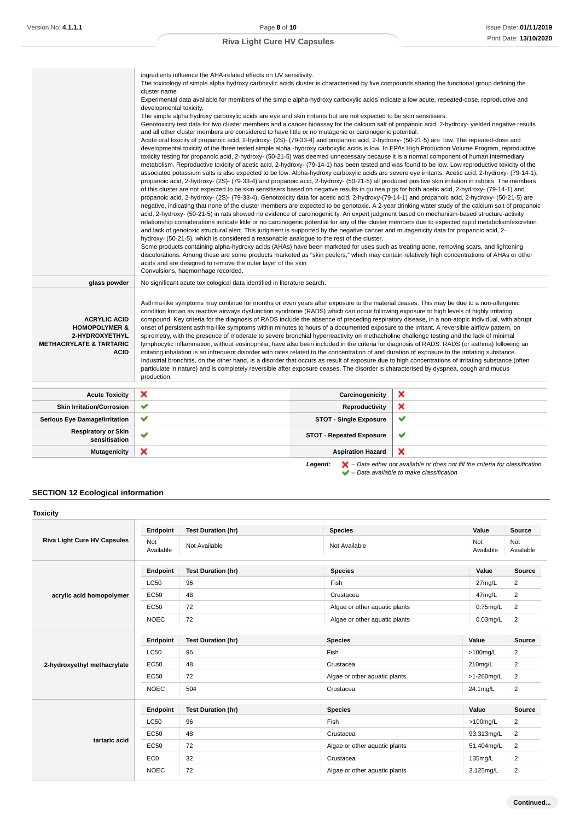|                                                                                                                        | ingredients influence the AHA-related effects on UV sensitivity.<br>The toxicology of simple alpha hydroxy carboxylic acids cluster is characterised by five compounds sharing the functional group defining the<br>cluster name<br>Experimental data available for members of the simple alpha-hydroxy carboxylic acids indicate a low acute, repeated-dose, reproductive and<br>developmental toxicity.<br>The simple alpha hydroxy carboxylic acids are eye and skin irritants but are not expected to be skin sensitisers.<br>Genotoxicity test data for two cluster members and a cancer bioassay for the calcium salt of propanoic acid, 2-hydroxy-yielded negative results<br>and all other cluster members are considered to have little or no mutagenic or carcinogenic potential.<br>Acute oral toxicity of propanoic acid, 2-hydroxy- (2S)- (79-33-4) and propanoic acid, 2-hydroxy- (50-21-5) are low. The repeated-dose and<br>developmental toxicity of the three tested simple alpha -hydroxy carboxylic acids is low. In EPA's High Production Volume Program, reproductive<br>toxicity testing for propanoic acid, 2-hydroxy- (50-21-5) was deemed unnecessary because it is a normal component of human intermediary<br>metabolism. Reproductive toxicity of acetic acid, 2-hydroxy- (79-14-1) has been tested and was found to be low. Low reproductive toxicity of the<br>associated potassium salts is also expected to be low. Alpha-hydroxy carboxylic acids are severe eye irritants. Acetic acid, 2-hydroxy- (79-14-1),<br>propanoic acid, 2-hydroxy- (2S)- (79-33-4) and propanoic acid, 2-hydroxy- (50-21-5) all produced positive skin irritation in rabbits. The members<br>of this cluster are not expected to be skin sensitisers based on negative results in guinea pigs for both acetic acid, 2-hydroxy- (79-14-1) and<br>propanoic acid, 2-hydroxy- (2S)- (79-33-4). Genotoxicity data for acetic acid, 2-hydroxy-(79-14-1) and propanoic acid, 2-hydroxy- (50-21-5) are<br>acid, 2-hydroxy- (50-21-5) in rats showed no evidence of carcinogenicity. An expert judgment based on mechanism-based structure-activity<br>relationship considerations indicate little or no carcinogenic potential for any of the cluster members due to expected rapid metabolism/excretion<br>and lack of genotoxic structural alert. This judgment is supported by the negative cancer and mutagenicity data for propanoic acid, 2-<br>hydroxy- (50-21-5), which is considered a reasonable analogue to the rest of the cluster.<br>Some products containing alpha-hydroxy acids (AHAs) have been marketed for uses such as treating acne, removing scars, and lightening<br>discolorations. Among these are some products marketed as "skin peelers," which may contain relatively high concentrations of AHAs or other<br>acids and are designed to remove the outer layer of the skin<br>Convulsions, haemorrhage recorded. |                                 | negative, indicating that none of the cluster members are expected to be genotoxic. A 2-year drinking water study of the calcium salt of propanoic |
|------------------------------------------------------------------------------------------------------------------------|----------------------------------------------------------------------------------------------------------------------------------------------------------------------------------------------------------------------------------------------------------------------------------------------------------------------------------------------------------------------------------------------------------------------------------------------------------------------------------------------------------------------------------------------------------------------------------------------------------------------------------------------------------------------------------------------------------------------------------------------------------------------------------------------------------------------------------------------------------------------------------------------------------------------------------------------------------------------------------------------------------------------------------------------------------------------------------------------------------------------------------------------------------------------------------------------------------------------------------------------------------------------------------------------------------------------------------------------------------------------------------------------------------------------------------------------------------------------------------------------------------------------------------------------------------------------------------------------------------------------------------------------------------------------------------------------------------------------------------------------------------------------------------------------------------------------------------------------------------------------------------------------------------------------------------------------------------------------------------------------------------------------------------------------------------------------------------------------------------------------------------------------------------------------------------------------------------------------------------------------------------------------------------------------------------------------------------------------------------------------------------------------------------------------------------------------------------------------------------------------------------------------------------------------------------------------------------------------------------------------------------------------------------------------------------------------------------------------------------------------------------------------------------------------------------------------------------------------------------------------------------------------------------------------------------------------------|---------------------------------|----------------------------------------------------------------------------------------------------------------------------------------------------|
| glass powder                                                                                                           | No significant acute toxicological data identified in literature search.                                                                                                                                                                                                                                                                                                                                                                                                                                                                                                                                                                                                                                                                                                                                                                                                                                                                                                                                                                                                                                                                                                                                                                                                                                                                                                                                                                                                                                                                                                                                                                                                                                                                                                                                                                                                                                                                                                                                                                                                                                                                                                                                                                                                                                                                                                                                                                                                                                                                                                                                                                                                                                                                                                                                                                                                                                                                           |                                 |                                                                                                                                                    |
| <b>ACRYLIC ACID</b><br><b>HOMOPOLYMER &amp;</b><br>2-HYDROXYETHYL<br><b>METHACRYLATE &amp; TARTARIC</b><br><b>ACID</b> | Asthma-like symptoms may continue for months or even years after exposure to the material ceases. This may be due to a non-allergenic<br>condition known as reactive airways dysfunction syndrome (RADS) which can occur following exposure to high levels of highly irritating<br>compound. Key criteria for the diagnosis of RADS include the absence of preceding respiratory disease, in a non-atopic individual, with abrupt<br>onset of persistent asthma-like symptoms within minutes to hours of a documented exposure to the irritant. A reversible airflow pattern, on<br>spirometry, with the presence of moderate to severe bronchial hyperreactivity on methacholine challenge testing and the lack of minimal<br>lymphocytic inflammation, without eosinophilia, have also been included in the criteria for diagnosis of RADS. RADS (or asthma) following an<br>irritating inhalation is an infrequent disorder with rates related to the concentration of and duration of exposure to the irritating substance.<br>Industrial bronchitis, on the other hand, is a disorder that occurs as result of exposure due to high concentrations of irritating substance (often<br>particulate in nature) and is completely reversible after exposure ceases. The disorder is characterised by dyspnea, cough and mucus<br>production.                                                                                                                                                                                                                                                                                                                                                                                                                                                                                                                                                                                                                                                                                                                                                                                                                                                                                                                                                                                                                                                                                                                                                                                                                                                                                                                                                                                                                                                                                                                                                                                                      |                                 |                                                                                                                                                    |
| <b>Acute Toxicity</b>                                                                                                  | ×                                                                                                                                                                                                                                                                                                                                                                                                                                                                                                                                                                                                                                                                                                                                                                                                                                                                                                                                                                                                                                                                                                                                                                                                                                                                                                                                                                                                                                                                                                                                                                                                                                                                                                                                                                                                                                                                                                                                                                                                                                                                                                                                                                                                                                                                                                                                                                                                                                                                                                                                                                                                                                                                                                                                                                                                                                                                                                                                                  | Carcinogenicity                 | ×                                                                                                                                                  |
| <b>Skin Irritation/Corrosion</b>                                                                                       | ✔                                                                                                                                                                                                                                                                                                                                                                                                                                                                                                                                                                                                                                                                                                                                                                                                                                                                                                                                                                                                                                                                                                                                                                                                                                                                                                                                                                                                                                                                                                                                                                                                                                                                                                                                                                                                                                                                                                                                                                                                                                                                                                                                                                                                                                                                                                                                                                                                                                                                                                                                                                                                                                                                                                                                                                                                                                                                                                                                                  | Reproductivity                  | ×                                                                                                                                                  |
| <b>Serious Eye Damage/Irritation</b>                                                                                   | ✔                                                                                                                                                                                                                                                                                                                                                                                                                                                                                                                                                                                                                                                                                                                                                                                                                                                                                                                                                                                                                                                                                                                                                                                                                                                                                                                                                                                                                                                                                                                                                                                                                                                                                                                                                                                                                                                                                                                                                                                                                                                                                                                                                                                                                                                                                                                                                                                                                                                                                                                                                                                                                                                                                                                                                                                                                                                                                                                                                  | <b>STOT - Single Exposure</b>   | ✔                                                                                                                                                  |
| <b>Respiratory or Skin</b><br>sensitisation                                                                            | ✔                                                                                                                                                                                                                                                                                                                                                                                                                                                                                                                                                                                                                                                                                                                                                                                                                                                                                                                                                                                                                                                                                                                                                                                                                                                                                                                                                                                                                                                                                                                                                                                                                                                                                                                                                                                                                                                                                                                                                                                                                                                                                                                                                                                                                                                                                                                                                                                                                                                                                                                                                                                                                                                                                                                                                                                                                                                                                                                                                  | <b>STOT - Repeated Exposure</b> | ✔                                                                                                                                                  |
| <b>Mutagenicity</b>                                                                                                    | ×                                                                                                                                                                                                                                                                                                                                                                                                                                                                                                                                                                                                                                                                                                                                                                                                                                                                                                                                                                                                                                                                                                                                                                                                                                                                                                                                                                                                                                                                                                                                                                                                                                                                                                                                                                                                                                                                                                                                                                                                                                                                                                                                                                                                                                                                                                                                                                                                                                                                                                                                                                                                                                                                                                                                                                                                                                                                                                                                                  | <b>Aspiration Hazard</b>        | ×                                                                                                                                                  |
|                                                                                                                        |                                                                                                                                                                                                                                                                                                                                                                                                                                                                                                                                                                                                                                                                                                                                                                                                                                                                                                                                                                                                                                                                                                                                                                                                                                                                                                                                                                                                                                                                                                                                                                                                                                                                                                                                                                                                                                                                                                                                                                                                                                                                                                                                                                                                                                                                                                                                                                                                                                                                                                                                                                                                                                                                                                                                                                                                                                                                                                                                                    | Legend:                         | $\blacktriangleright$ - Data either not available or does not fill the criteria for classification                                                 |

– Data available to make classification

## **SECTION 12 Ecological information**

| <b>Toxicity</b>                    |                  |                           |                               |                  |                         |
|------------------------------------|------------------|---------------------------|-------------------------------|------------------|-------------------------|
| <b>Riva Light Cure HV Capsules</b> | Endpoint         | <b>Test Duration (hr)</b> | <b>Species</b>                | Value            | <b>Source</b>           |
|                                    | Not<br>Available | Not Available             | Not Available                 | Not<br>Available | Not<br>Available        |
|                                    | Endpoint         | <b>Test Duration (hr)</b> | <b>Species</b>                | Value            | Source                  |
|                                    | <b>LC50</b>      | 96                        | Fish                          | 27mg/L           | $\overline{c}$          |
| acrylic acid homopolymer           | <b>EC50</b>      | 48                        | Crustacea                     | 47mg/L           | $\overline{2}$          |
|                                    | <b>EC50</b>      | 72                        | Algae or other aquatic plants | $0.75$ mg/L      | 2                       |
|                                    | <b>NOEC</b>      | 72                        | Algae or other aquatic plants | 0.03mg/L         | $\overline{c}$          |
|                                    | Endpoint         | <b>Test Duration (hr)</b> | <b>Species</b>                | Value            | Source                  |
|                                    | <b>LC50</b>      | 96                        | Fish                          | $>100$ mg/L      | 2                       |
| 2-hydroxyethyl methacrylate        | <b>EC50</b>      | 48                        | Crustacea                     | 210mg/L          | $\overline{2}$          |
|                                    | <b>EC50</b>      | 72                        | Algae or other aquatic plants | >1-260mg/L       | 2                       |
|                                    | <b>NOEC</b>      | 504                       | Crustacea                     | 24.1mg/L         | $\overline{2}$          |
|                                    | Endpoint         | <b>Test Duration (hr)</b> | <b>Species</b>                | Value            | <b>Source</b>           |
|                                    | <b>LC50</b>      | 96                        | Fish                          | $>100$ mg/L      | $\overline{\mathbf{c}}$ |
|                                    | <b>EC50</b>      | 48                        | Crustacea                     | 93.313mg/L       | $\overline{2}$          |
| tartaric acid                      | <b>EC50</b>      | 72                        | Algae or other aquatic plants | 51.404mg/L       | $\overline{2}$          |
|                                    | EC <sub>0</sub>  | 32                        | Crustacea                     | 135mg/L          | 2                       |
|                                    | <b>NOEC</b>      | 72                        | Algae or other aquatic plants | 3.125mg/L        | $\overline{2}$          |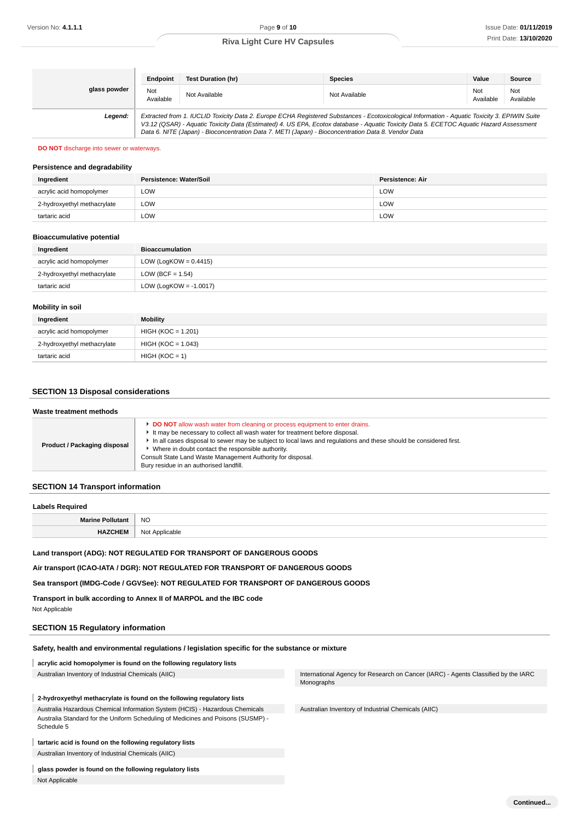|              | Endpoint                                                                                                                                                                                                                                                                                                                                                                                        | <b>Test Duration (hr)</b> | <b>Species</b> | Value            | Source           |
|--------------|-------------------------------------------------------------------------------------------------------------------------------------------------------------------------------------------------------------------------------------------------------------------------------------------------------------------------------------------------------------------------------------------------|---------------------------|----------------|------------------|------------------|
| glass powder | Not<br>Available                                                                                                                                                                                                                                                                                                                                                                                | Not Available             | Not Available  | Not<br>Available | Not<br>Available |
| Legend:      | Extracted from 1. IUCLID Toxicity Data 2. Europe ECHA Registered Substances - Ecotoxicological Information - Aquatic Toxicity 3. EPIWIN Suite<br>V3.12 (QSAR) - Aquatic Toxicity Data (Estimated) 4. US EPA, Ecotox database - Aquatic Toxicity Data 5. ECETOC Aquatic Hazard Assessment<br>Data 6. NITE (Japan) - Bioconcentration Data 7. METI (Japan) - Bioconcentration Data 8. Vendor Data |                           |                |                  |                  |

#### **DO NOT** discharge into sewer or waterways.

#### **Persistence and degradability**

| Ingredient                  | Persistence: Water/Soil | Persistence: Air |
|-----------------------------|-------------------------|------------------|
| acrylic acid homopolymer    | LOW                     | LOW              |
| 2-hydroxyethyl methacrylate | LOW                     | <b>LOW</b>       |
| tartaric acid               | LOW                     | LOW              |

#### **Bioaccumulative potential**

| Ingredient                  | <b>Bioaccumulation</b>    |
|-----------------------------|---------------------------|
| acrylic acid homopolymer    | LOW (LogKOW = $0.4415$ )  |
| 2-hydroxyethyl methacrylate | LOW (BCF = $1.54$ )       |
| tartaric acid               | LOW (LogKOW = $-1.0017$ ) |
|                             |                           |

## **Mobility in soil**

| Ingredient                  | <b>Mobility</b>      |
|-----------------------------|----------------------|
| acrylic acid homopolymer    | $HIGH (KOC = 1.201)$ |
| 2-hydroxyethyl methacrylate | HIGH (KOC = 1.043)   |
| tartaric acid               | $HIGH (KOC = 1)$     |

## **SECTION 13 Disposal considerations**

| Waste treatment methods      |                                                                                                                                                                                                                                                                                                                                                                                                                                                        |  |
|------------------------------|--------------------------------------------------------------------------------------------------------------------------------------------------------------------------------------------------------------------------------------------------------------------------------------------------------------------------------------------------------------------------------------------------------------------------------------------------------|--|
| Product / Packaging disposal | <b>DO NOT</b> allow wash water from cleaning or process equipment to enter drains.<br>It may be necessary to collect all wash water for treatment before disposal.<br>In all cases disposal to sewer may be subject to local laws and regulations and these should be considered first.<br>Where in doubt contact the responsible authority.<br>Consult State Land Waste Management Authority for disposal.<br>Bury residue in an authorised landfill. |  |

## **SECTION 14 Transport information**

| <b>Labels Required</b>  |                |
|-------------------------|----------------|
| <b>Marine Pollutant</b> | <b>NO</b>      |
| <b>HAZCHEM</b>          | Not Applicable |

## **Land transport (ADG): NOT REGULATED FOR TRANSPORT OF DANGEROUS GOODS**

**Air transport (ICAO-IATA / DGR): NOT REGULATED FOR TRANSPORT OF DANGEROUS GOODS**

**Sea transport (IMDG-Code / GGVSee): NOT REGULATED FOR TRANSPORT OF DANGEROUS GOODS**

**Transport in bulk according to Annex II of MARPOL and the IBC code**

## Not Applicable

## **SECTION 15 Regulatory information**

## **Safety, health and environmental regulations / legislation specific for the substance or mixture**

**acrylic acid homopolymer is found on the following regulatory lists**

## **2-hydroxyethyl methacrylate is found on the following regulatory lists**

Australia Hazardous Chemical Information System (HCIS) - Hazardous Chemicals Australia Standard for the Uniform Scheduling of Medicines and Poisons (SUSMP) - Schedule 5

## **tartaric acid is found on the following regulatory lists**

Australian Inventory of Industrial Chemicals (AIIC)

## **glass powder is found on the following regulatory lists**

Not Applicable

Australian Inventory of Industrial Chemicals (AIIC) **International Agency for Research on Cancer (IARC)** - Agents Classified by the IARC Monographs

Australian Inventory of Industrial Chemicals (AIIC)